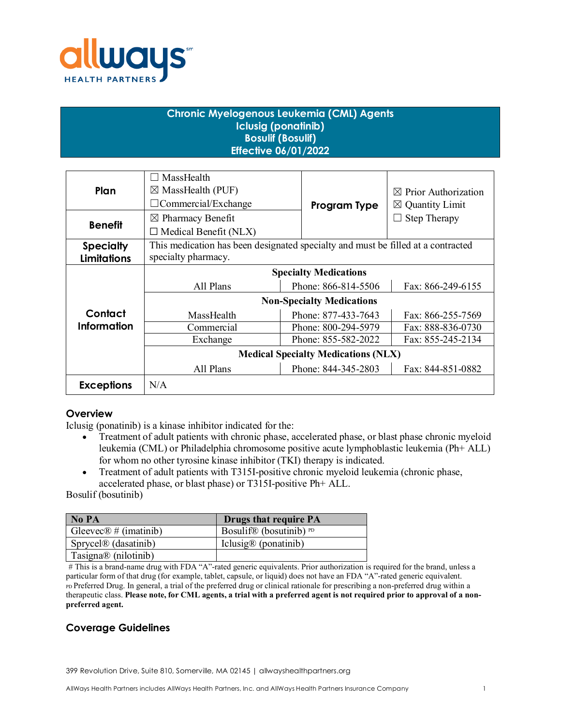

# **Chronic Myelogenous Leukemia (CML) Agents Iclusig (ponatinib) Bosulif (Bosulif) Effective 06/01/2022**

| Plan               | MassHealth                                                                       |                     |                                 |  |
|--------------------|----------------------------------------------------------------------------------|---------------------|---------------------------------|--|
|                    | $\boxtimes$ MassHealth (PUF)                                                     |                     | $\boxtimes$ Prior Authorization |  |
|                    | $\Box$ Commercial/Exchange                                                       | Program Type        | $\boxtimes$ Quantity Limit      |  |
| <b>Benefit</b>     | $\boxtimes$ Pharmacy Benefit                                                     |                     | Step Therapy                    |  |
|                    | $\Box$ Medical Benefit (NLX)                                                     |                     |                                 |  |
| <b>Specialty</b>   | This medication has been designated specialty and must be filled at a contracted |                     |                                 |  |
| <b>Limitations</b> | specialty pharmacy.                                                              |                     |                                 |  |
|                    | <b>Specialty Medications</b>                                                     |                     |                                 |  |
|                    | All Plans                                                                        | Phone: 866-814-5506 | Fax: 866-249-6155               |  |
|                    | <b>Non-Specialty Medications</b>                                                 |                     |                                 |  |
| Contact            | MassHealth                                                                       | Phone: 877-433-7643 | Fax: 866-255-7569               |  |
| <b>Information</b> | Commercial                                                                       | Phone: 800-294-5979 | Fax: 888-836-0730               |  |
|                    | Exchange                                                                         | Phone: 855-582-2022 | Fax: 855-245-2134               |  |
|                    | <b>Medical Specialty Medications (NLX)</b>                                       |                     |                                 |  |
|                    | All Plans                                                                        | Phone: 844-345-2803 | Fax: 844-851-0882               |  |
| <b>Exceptions</b>  | N/A                                                                              |                     |                                 |  |

## **Overview**

Iclusig (ponatinib) is a kinase inhibitor indicated for the:

- Treatment of adult patients with chronic phase, accelerated phase, or blast phase chronic myeloid leukemia (CML) or Philadelphia chromosome positive acute lymphoblastic leukemia (Ph+ ALL) for whom no other tyrosine kinase inhibitor (TKI) therapy is indicated.
- Treatment of adult patients with T315I-positive chronic myeloid leukemia (chronic phase, accelerated phase, or blast phase) or T315I-positive Ph+ ALL.

#### Bosulif (bosutinib)

| No PA                             | <b>Drugs that require PA</b>      |
|-----------------------------------|-----------------------------------|
| Gleevec $\mathbb{R}$ # (imatinib) | Bosulif® (bosutinib) $PD$         |
| Sprycel <sup>®</sup> (dasatinib)  | Iclusig $\mathcal{D}$ (ponatinib) |
| Tasigna® (nilotinib)              |                                   |

# This is a brand-name drug with FDA "A"-rated generic equivalents. Prior authorization is required for the brand, unless a particular form of that drug (for example, tablet, capsule, or liquid) does not have an FDA "A"-rated generic equivalent. PD Preferred Drug. In general, a trial of the preferred drug or clinical rationale for prescribing a non-preferred drug within a therapeutic class. **Please note, for CML agents, a trial with a preferred agent is not required prior to approval of a nonpreferred agent.**

# **Coverage Guidelines**

399 Revolution Drive, Suite 810, Somerville, MA 02145 | allwayshealthpartners.org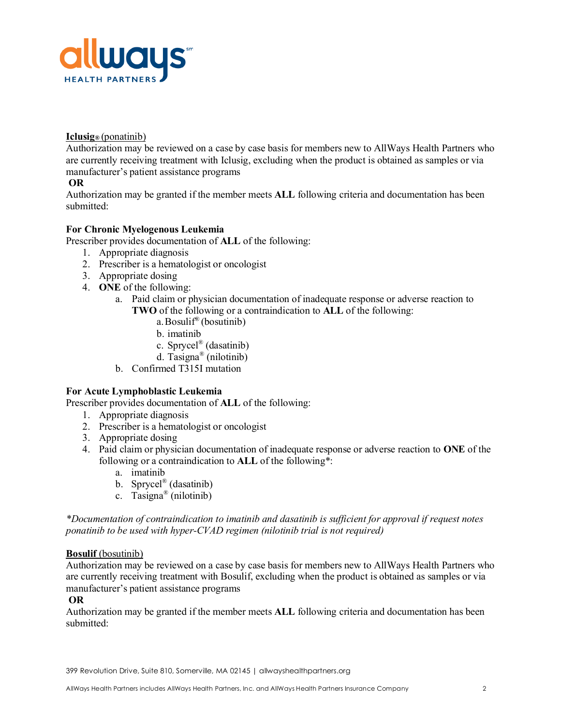

## **Iclusig®** (ponatinib)

Authorization may be reviewed on a case by case basis for members new to AllWays Health Partners who are currently receiving treatment with Iclusig, excluding when the product is obtained as samples or via manufacturer's patient assistance programs

## **OR**

Authorization may be granted if the member meets **ALL** following criteria and documentation has been submitted:

## **For Chronic Myelogenous Leukemia**

Prescriber provides documentation of **ALL** of the following:

- 1. Appropriate diagnosis
- 2. Prescriber is a hematologist or oncologist
- 3. Appropriate dosing
- 4. **ONE** of the following:
	- a. Paid claim or physician documentation of inadequate response or adverse reaction to **TWO** of the following or a contraindication to **ALL** of the following:
		- a. Bosulif<sup>®</sup> (bosutinib)
		- b. imatinib
		- c. Sprycel® (dasatinib)
		- d. Tasigna® (nilotinib)
	- b. Confirmed T315I mutation

#### **For Acute Lymphoblastic Leukemia**

Prescriber provides documentation of **ALL** of the following:

- 1. Appropriate diagnosis
- 2. Prescriber is a hematologist or oncologist
- 3. Appropriate dosing
- 4. Paid claim or physician documentation of inadequate response or adverse reaction to **ONE** of the following or a contraindication to **ALL** of the following\*:
	- a. imatinib
	- b. Sprycel® (dasatinib)
	- c. Tasigna<sup>®</sup> (nilotinib)

*\*Documentation of contraindication to imatinib and dasatinib is sufficient for approval if request notes ponatinib to be used with hyper-CVAD regimen (nilotinib trial is not required)*

#### **Bosulif** (bosutinib)

Authorization may be reviewed on a case by case basis for members new to AllWays Health Partners who are currently receiving treatment with Bosulif, excluding when the product is obtained as samples or via manufacturer's patient assistance programs

#### **OR**

Authorization may be granted if the member meets **ALL** following criteria and documentation has been submitted: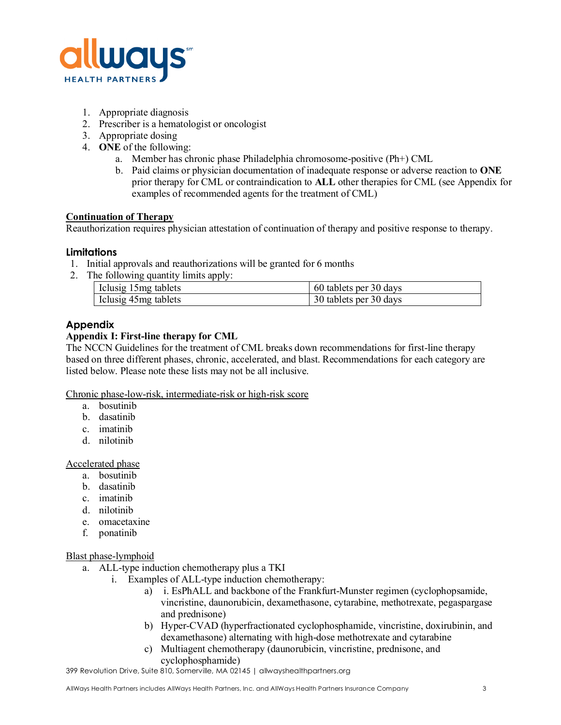

- 1. Appropriate diagnosis
- 2. Prescriber is a hematologist or oncologist
- 3. Appropriate dosing
- 4. **ONE** of the following:
	- a. Member has chronic phase Philadelphia chromosome-positive (Ph+) CML
	- b. Paid claims or physician documentation of inadequate response or adverse reaction to **ONE**  prior therapy for CML or contraindication to **ALL** other therapies for CML (see Appendix for examples of recommended agents for the treatment of CML)

#### **Continuation of Therapy**

Reauthorization requires physician attestation of continuation of therapy and positive response to therapy.

#### **Limitations**

- 1. Initial approvals and reauthorizations will be granted for 6 months
- 2. The following quantity limits apply:

| Iclusig 15mg tablets | 60 tablets per 30 days |
|----------------------|------------------------|
| Iclusig 45mg tablets | 30 tablets per 30 days |

# **Appendix**

#### **Appendix I: First-line therapy for CML**

The NCCN Guidelines for the treatment of CML breaks down recommendations for first-line therapy based on three different phases, chronic, accelerated, and blast. Recommendations for each category are listed below. Please note these lists may not be all inclusive.

#### Chronic phase-low-risk, intermediate-risk or high-risk score

- a. bosutinib
- b. dasatinib
- c. imatinib
- d. nilotinib

#### Accelerated phase

- a. bosutinib
- b. dasatinib
- c. imatinib
- d. nilotinib
- e. omacetaxine
- f. ponatinib

#### Blast phase-lymphoid

- a. ALL-type induction chemotherapy plus a TKI
	- i. Examples of ALL-type induction chemotherapy:
		- a) i. EsPhALL and backbone of the Frankfurt-Munster regimen (cyclophopsamide, vincristine, daunorubicin, dexamethasone, cytarabine, methotrexate, pegaspargase and prednisone)
		- b) Hyper-CVAD (hyperfractionated cyclophosphamide, vincristine, doxirubinin, and dexamethasone) alternating with high-dose methotrexate and cytarabine
		- c) Multiagent chemotherapy (daunorubicin, vincristine, prednisone, and cyclophosphamide)

399 Revolution Drive, Suite 810, Somerville, MA 02145 | allwayshealthpartners.org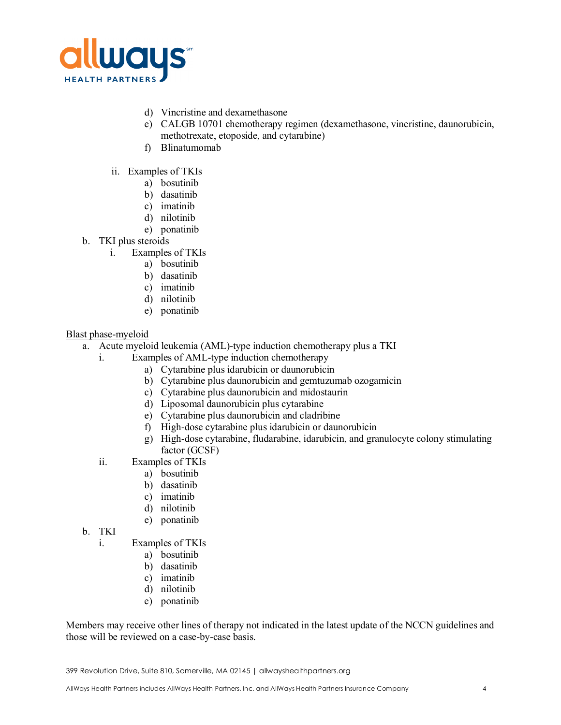

- d) Vincristine and dexamethasone
- e) CALGB 10701 chemotherapy regimen (dexamethasone, vincristine, daunorubicin, methotrexate, etoposide, and cytarabine)
- f) Blinatumomab
- ii. Examples of TKIs
	- a) bosutinib
	- b) dasatinib
	- c) imatinib
	- d) nilotinib
	- e) ponatinib
- b. TKI plus steroids
	- i. Examples of TKIs
		- a) bosutinib
		- b) dasatinib
		- c) imatinib
		- d) nilotinib
		- e) ponatinib

## Blast phase-myeloid

- a. Acute myeloid leukemia (AML)-type induction chemotherapy plus a TKI
	- i. Examples of AML-type induction chemotherapy
		- a) Cytarabine plus idarubicin or daunorubicin
		- b) Cytarabine plus daunorubicin and gemtuzumab ozogamicin
		- c) Cytarabine plus daunorubicin and midostaurin
		- d) Liposomal daunorubicin plus cytarabine
		- e) Cytarabine plus daunorubicin and cladribine
		- f) High-dose cytarabine plus idarubicin or daunorubicin
		- g) High-dose cytarabine, fludarabine, idarubicin, and granulocyte colony stimulating factor (GCSF)
	- ii. Examples of TKIs
		- a) bosutinib
		- b) dasatinib
		- c) imatinib
		- d) nilotinib
		- e) ponatinib
- b. TKI
	- i. Examples of TKIs
		- a) bosutinib
		- b) dasatinib
		- c) imatinib
		- d) nilotinib
		- e) ponatinib

Members may receive other lines of therapy not indicated in the latest update of the NCCN guidelines and those will be reviewed on a case-by-case basis.